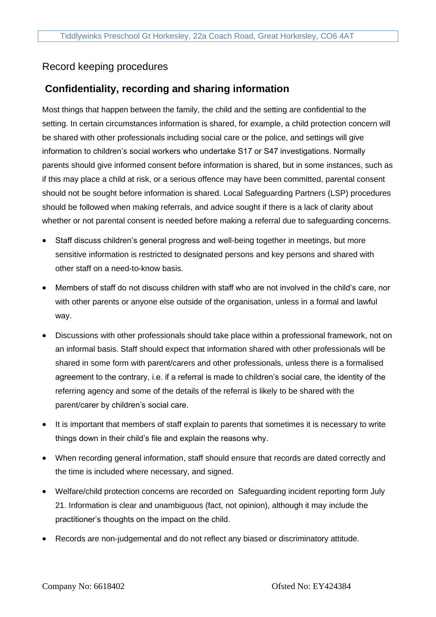# Record keeping procedures

# **Confidentiality, recording and sharing information**

Most things that happen between the family, the child and the setting are confidential to the setting. In certain circumstances information is shared, for example, a child protection concern will be shared with other professionals including social care or the police, and settings will give information to children's social workers who undertake S17 or S47 investigations. Normally parents should give informed consent before information is shared, but in some instances, such as if this may place a child at risk, or a serious offence may have been committed, parental consent should not be sought before information is shared. Local Safeguarding Partners (LSP) procedures should be followed when making referrals, and advice sought if there is a lack of clarity about whether or not parental consent is needed before making a referral due to safeguarding concerns.

- Staff discuss children's general progress and well-being together in meetings, but more sensitive information is restricted to designated persons and key persons and shared with other staff on a need-to-know basis.
- Members of staff do not discuss children with staff who are not involved in the child's care, nor with other parents or anyone else outside of the organisation, unless in a formal and lawful way.
- Discussions with other professionals should take place within a professional framework, not on an informal basis. Staff should expect that information shared with other professionals will be shared in some form with parent/carers and other professionals, unless there is a formalised agreement to the contrary, i.e. if a referral is made to children's social care, the identity of the referring agency and some of the details of the referral is likely to be shared with the parent/carer by children's social care.
- It is important that members of staff explain to parents that sometimes it is necessary to write things down in their child's file and explain the reasons why.
- When recording general information, staff should ensure that records are dated correctly and the time is included where necessary, and signed.
- Welfare/child protection concerns are recorded on Safeguarding incident reporting form July 21. Information is clear and unambiguous (fact, not opinion), although it may include the practitioner's thoughts on the impact on the child.
- Records are non-judgemental and do not reflect any biased or discriminatory attitude.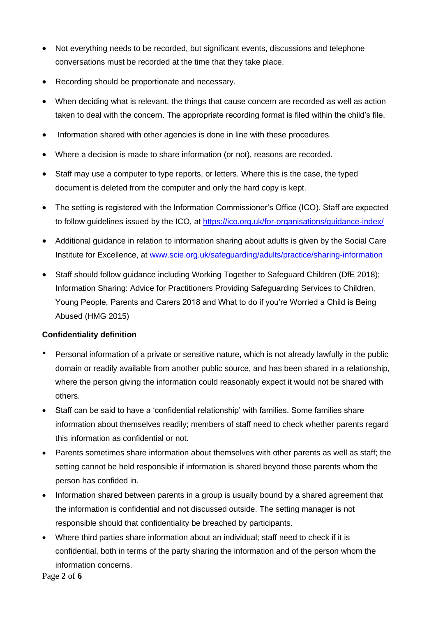- Not everything needs to be recorded, but significant events, discussions and telephone conversations must be recorded at the time that they take place.
- Recording should be proportionate and necessary.
- When deciding what is relevant, the things that cause concern are recorded as well as action taken to deal with the concern. The appropriate recording format is filed within the child's file.
- Information shared with other agencies is done in line with these procedures.
- Where a decision is made to share information (or not), reasons are recorded.
- Staff may use a computer to type reports, or letters. Where this is the case, the typed document is deleted from the computer and only the hard copy is kept.
- The setting is registered with the Information Commissioner's Office (ICO). Staff are expected to follow guidelines issued by the ICO, at<https://ico.org.uk/for-organisations/guidance-index/>
- Additional guidance in relation to information sharing about adults is given by the Social Care Institute for Excellence, at [www.scie.org.uk/safeguarding/adults/practice/sharing-information](http://www.scie.org.uk/safeguarding/adults/practice/sharing-information)
- Staff should follow guidance including Working Together to Safeguard Children (DfE 2018); Information Sharing: Advice for Practitioners Providing Safeguarding Services to Children, Young People, Parents and Carers 2018 and What to do if you're Worried a Child is Being Abused (HMG 2015)

## **Confidentiality definition**

- Personal information of a private or sensitive nature, which is not already lawfully in the public domain or readily available from another public source, and has been shared in a relationship, where the person giving the information could reasonably expect it would not be shared with others.
- Staff can be said to have a 'confidential relationship' with families. Some families share information about themselves readily; members of staff need to check whether parents regard this information as confidential or not.
- Parents sometimes share information about themselves with other parents as well as staff; the setting cannot be held responsible if information is shared beyond those parents whom the person has confided in.
- Information shared between parents in a group is usually bound by a shared agreement that the information is confidential and not discussed outside. The setting manager is not responsible should that confidentiality be breached by participants.
- Where third parties share information about an individual; staff need to check if it is confidential, both in terms of the party sharing the information and of the person whom the information concerns.

Page **2** of **6**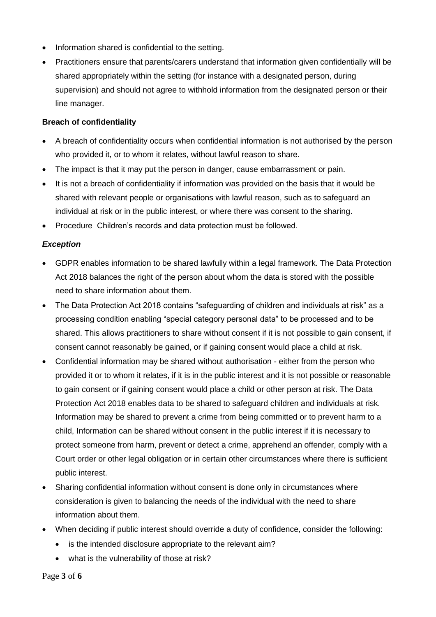- Information shared is confidential to the setting.
- Practitioners ensure that parents/carers understand that information given confidentially will be shared appropriately within the setting (for instance with a designated person, during supervision) and should not agree to withhold information from the designated person or their line manager.

### **Breach of confidentiality**

- A breach of confidentiality occurs when confidential information is not authorised by the person who provided it, or to whom it relates, without lawful reason to share.
- The impact is that it may put the person in danger, cause embarrassment or pain.
- It is not a breach of confidentiality if information was provided on the basis that it would be shared with relevant people or organisations with lawful reason, such as to safeguard an individual at risk or in the public interest, or where there was consent to the sharing.
- Procedure Children's records and data protection must be followed.

### *Exception*

- GDPR enables information to be shared lawfully within a legal framework. The Data Protection Act 2018 balances the right of the person about whom the data is stored with the possible need to share information about them.
- The Data Protection Act 2018 contains "safeguarding of children and individuals at risk" as a processing condition enabling "special category personal data" to be processed and to be shared. This allows practitioners to share without consent if it is not possible to gain consent, if consent cannot reasonably be gained, or if gaining consent would place a child at risk.
- Confidential information may be shared without authorisation either from the person who provided it or to whom it relates, if it is in the public interest and it is not possible or reasonable to gain consent or if gaining consent would place a child or other person at risk. The Data Protection Act 2018 enables data to be shared to safeguard children and individuals at risk. Information may be shared to prevent a crime from being committed or to prevent harm to a child, Information can be shared without consent in the public interest if it is necessary to protect someone from harm, prevent or detect a crime, apprehend an offender, comply with a Court order or other legal obligation or in certain other circumstances where there is sufficient public interest.
- Sharing confidential information without consent is done only in circumstances where consideration is given to balancing the needs of the individual with the need to share information about them.
- When deciding if public interest should override a duty of confidence, consider the following:
	- is the intended disclosure appropriate to the relevant aim?
	- what is the vulnerability of those at risk?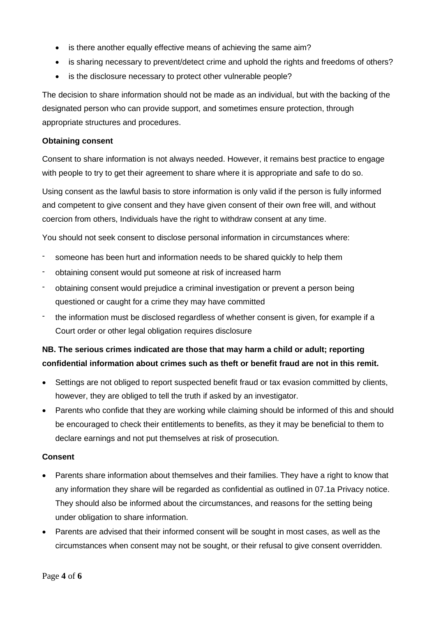- is there another equally effective means of achieving the same aim?
- is sharing necessary to prevent/detect crime and uphold the rights and freedoms of others?
- is the disclosure necessary to protect other vulnerable people?

The decision to share information should not be made as an individual, but with the backing of the designated person who can provide support, and sometimes ensure protection, through appropriate structures and procedures.

# **Obtaining consent**

Consent to share information is not always needed. However, it remains best practice to engage with people to try to get their agreement to share where it is appropriate and safe to do so.

Using consent as the lawful basis to store information is only valid if the person is fully informed and competent to give consent and they have given consent of their own free will, and without coercion from others, Individuals have the right to withdraw consent at any time.

You should not seek consent to disclose personal information in circumstances where:

- someone has been hurt and information needs to be shared quickly to help them
- obtaining consent would put someone at risk of increased harm
- obtaining consent would prejudice a criminal investigation or prevent a person being questioned or caught for a crime they may have committed
- the information must be disclosed regardless of whether consent is given, for example if a Court order or other legal obligation requires disclosure

# **NB. The serious crimes indicated are those that may harm a child or adult; reporting confidential information about crimes such as theft or benefit fraud are not in this remit.**

- Settings are not obliged to report suspected benefit fraud or tax evasion committed by clients, however, they are obliged to tell the truth if asked by an investigator.
- Parents who confide that they are working while claiming should be informed of this and should be encouraged to check their entitlements to benefits, as they it may be beneficial to them to declare earnings and not put themselves at risk of prosecution.

## **Consent**

- Parents share information about themselves and their families. They have a right to know that any information they share will be regarded as confidential as outlined in 07.1a Privacy notice. They should also be informed about the circumstances, and reasons for the setting being under obligation to share information.
- Parents are advised that their informed consent will be sought in most cases, as well as the circumstances when consent may not be sought, or their refusal to give consent overridden.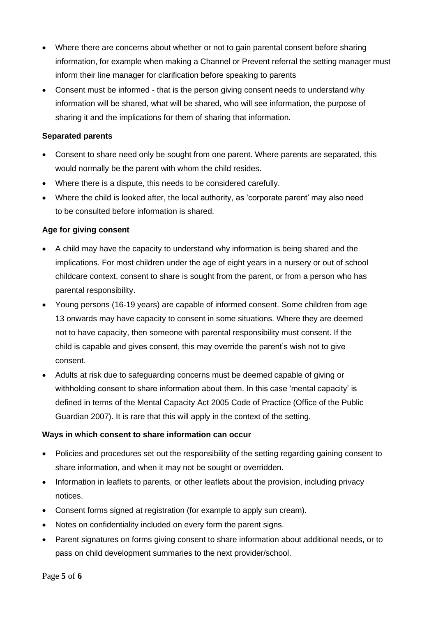- Where there are concerns about whether or not to gain parental consent before sharing information, for example when making a Channel or Prevent referral the setting manager must inform their line manager for clarification before speaking to parents
- Consent must be informed that is the person giving consent needs to understand why information will be shared, what will be shared, who will see information, the purpose of sharing it and the implications for them of sharing that information.

### **Separated parents**

- Consent to share need only be sought from one parent. Where parents are separated, this would normally be the parent with whom the child resides.
- Where there is a dispute, this needs to be considered carefully.
- Where the child is looked after, the local authority, as 'corporate parent' may also need to be consulted before information is shared.

## **Age for giving consent**

- A child may have the capacity to understand why information is being shared and the implications. For most children under the age of eight years in a nursery or out of school childcare context, consent to share is sought from the parent, or from a person who has parental responsibility.
- Young persons (16-19 years) are capable of informed consent. Some children from age 13 onwards may have capacity to consent in some situations. Where they are deemed not to have capacity, then someone with parental responsibility must consent. If the child is capable and gives consent, this may override the parent's wish not to give consent.
- Adults at risk due to safeguarding concerns must be deemed capable of giving or withholding consent to share information about them. In this case 'mental capacity' is defined in terms of the Mental Capacity Act 2005 Code of Practice (Office of the Public Guardian 2007). It is rare that this will apply in the context of the setting.

#### **Ways in which consent to share information can occur**

- Policies and procedures set out the responsibility of the setting regarding gaining consent to share information, and when it may not be sought or overridden.
- Information in leaflets to parents, or other leaflets about the provision, including privacy notices.
- Consent forms signed at registration (for example to apply sun cream).
- Notes on confidentiality included on every form the parent signs.
- Parent signatures on forms giving consent to share information about additional needs, or to pass on child development summaries to the next provider/school.